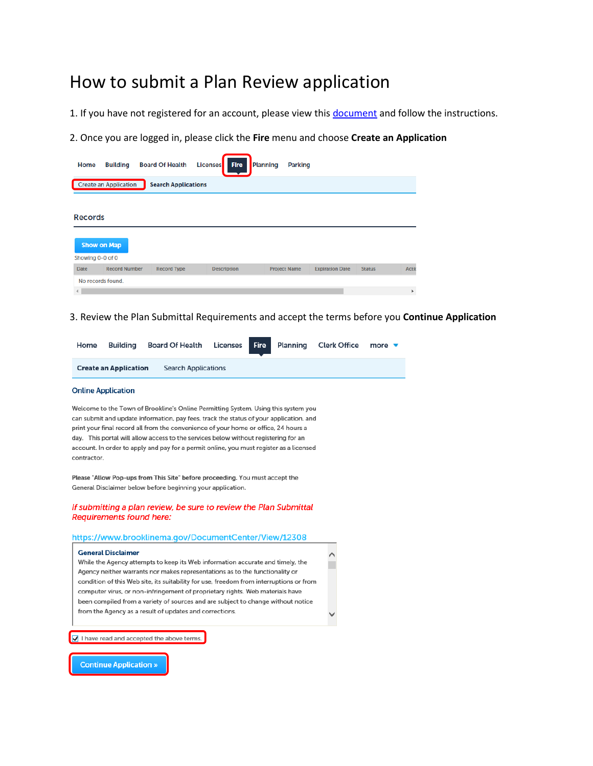# How to submit a Plan Review application

1. If you have not registered for an account, please view thi[s document](http://www.brooklinema.gov/DocumentCenter/View/12298) and follow the instructions.

2. Once you are logged in, please click the **Fire** menu and choose **Create an Application**

| Create an Application<br><b>Search Applications</b>                                                                                               |       |
|---------------------------------------------------------------------------------------------------------------------------------------------------|-------|
| <b>Records</b><br><b>Show on Map</b><br>Showing 0-0 of 0                                                                                          |       |
| <b>Record Number</b><br><b>Record Type</b><br><b>Project Name</b><br><b>Date</b><br><b>Description</b><br><b>Expiration Date</b><br><b>Status</b> | Actio |
| No records found.                                                                                                                                 | k     |

#### 3. Review the Plan Submittal Requirements and accept the terms before you **Continue Application**

| Home | Building                     | Board Of Health Licenses   |  | <b>Fire Planning Clerk Office</b> | more $\blacktriangledown$ |
|------|------------------------------|----------------------------|--|-----------------------------------|---------------------------|
|      | <b>Create an Application</b> | <b>Search Applications</b> |  |                                   |                           |

#### **Online Application**

Welcome to the Town of Brookline's Online Permitting System. Using this system you can submit and update information, pay fees, track the status of your application, and print your final record all from the convenience of your home or office, 24 hours a day. This portal will allow access to the services below without registering for an account. In order to apply and pay for a permit online, you must register as a licensed contractor.

Please "Allow Pop-ups from This Site" before proceeding. You must accept the General Disclaimer below before beginning your application.

#### If submitting a plan review, be sure to review the Plan Submittal **Requirements found here:**

#### https://www.brooklinema.gov/DocumentCenter/View/12308

| <b>General Disclaimer</b>                                                               |  |
|-----------------------------------------------------------------------------------------|--|
| While the Agency attempts to keep its Web information accurate and timely, the          |  |
| Agency neither warrants nor makes representations as to the functionality or            |  |
| condition of this Web site, its suitability for use, freedom from interruptions or from |  |
| computer virus, or non-infringement of proprietary rights. Web materials have           |  |
| been compiled from a variety of sources and are subject to change without notice        |  |
| from the Agency as a result of updates and corrections.                                 |  |
|                                                                                         |  |

 $\overline{\blacktriangleleft}$  I have read and accepted the above terms.

**Continue Application »**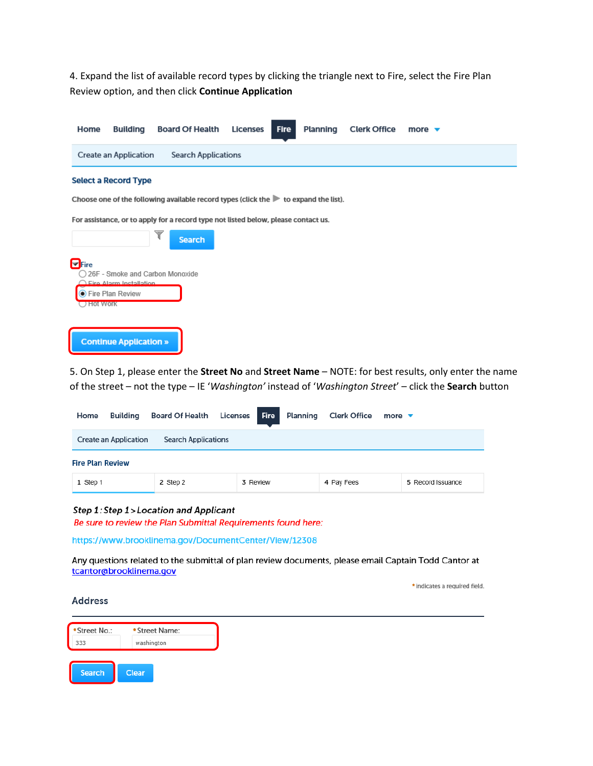4. Expand the list of available record types by clicking the triangle next to Fire, select the Fire Plan Review option, and then click Continue Application

| Home                                   | <b>Building</b>                                        | <b>Board Of Health</b>                                                                                   | <b>Licenses</b> | <b>Fire</b><br>Planning | <b>Clerk Office</b> | more $\blacktriangledown$ |
|----------------------------------------|--------------------------------------------------------|----------------------------------------------------------------------------------------------------------|-----------------|-------------------------|---------------------|---------------------------|
|                                        | Create an Application                                  | <b>Search Applications</b>                                                                               |                 |                         |                     |                           |
|                                        | <b>Select a Record Type</b>                            |                                                                                                          |                 |                         |                     |                           |
|                                        |                                                        | Choose one of the following available record types (click the $\blacktriangleright$ to expand the list). |                 |                         |                     |                           |
|                                        |                                                        | For assistance, or to apply for a record type not listed below, please contact us.                       |                 |                         |                     |                           |
|                                        |                                                        | <b>Search</b>                                                                                            |                 |                         |                     |                           |
| $\blacksquare$ Fire<br><b>HOT WORK</b> | $\bigcap$ Fire Alarm Installation.<br>Fire Plan Review | 26F - Smoke and Carbon Monoxide                                                                          |                 |                         |                     |                           |
|                                        | <b>Continue Application »</b>                          |                                                                                                          |                 |                         |                     |                           |

5. On Step 1, please enter the Street No and Street Name - NOTE: for best results, only enter the name of the street - not the type - IE 'Washington' instead of 'Washington Street' - click the Search button

| Home<br>Building                                           | Board Of Health | <b>Fire</b><br>Licenses I | Planning | <b>Clerk Office</b> | more $\blacktriangledown$ |  |  |  |
|------------------------------------------------------------|-----------------|---------------------------|----------|---------------------|---------------------------|--|--|--|
| <b>Create an Application</b><br><b>Search Applications</b> |                 |                           |          |                     |                           |  |  |  |
| <b>Fire Plan Review</b>                                    |                 |                           |          |                     |                           |  |  |  |
| 1 Step 1                                                   | 2 Step 2        | 3 Review                  |          | 4 Pay Fees          | 5 Record Issuance         |  |  |  |

## Step 1: Step 1>Location and Applicant

Be sure to review the Plan Submittal Requirements found here:

https://www.brooklinema.gov/DocumentCenter/View/12308

Any questions related to the submittal of plan review documents, please email Captain Todd Cantor at tcantor@brooklinema.gov

\* indicates a required field.

#### **Address**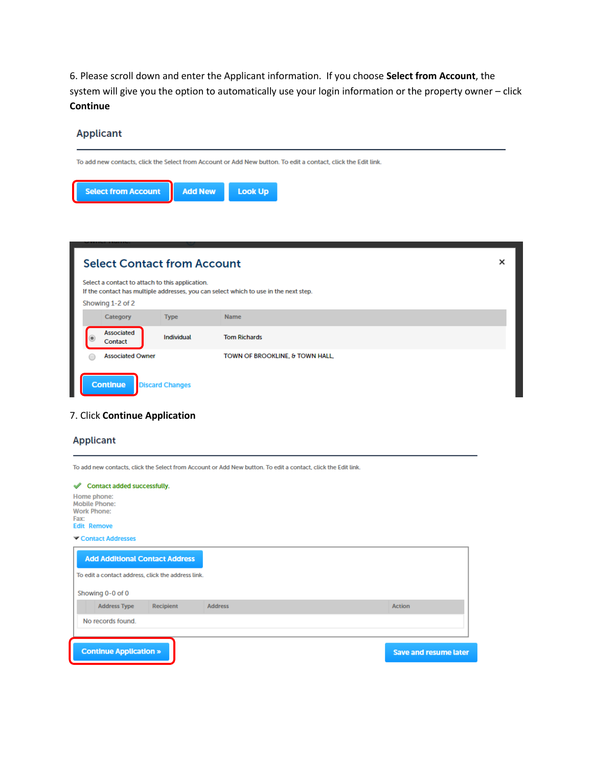6. Please scroll down and enter the Applicant information. If you choose **Select from Account**, the system will give you the option to automatically use your login information or the property owner – click **Continue**



## 7. Click **Continue Application**

|                                                                                         |           | To add new contacts, click the Select from Account or Add New button. To edit a contact, click the Edit link. |               |
|-----------------------------------------------------------------------------------------|-----------|---------------------------------------------------------------------------------------------------------------|---------------|
| Contact added successfully.<br>✔                                                        |           |                                                                                                               |               |
| Home phone:<br><b>Mobile Phone:</b><br><b>Work Phone:</b><br>Fax:<br><b>Edit Remove</b> |           |                                                                                                               |               |
| Contact Addresses                                                                       |           |                                                                                                               |               |
| <b>Add Additional Contact Address</b>                                                   |           |                                                                                                               |               |
| To edit a contact address, click the address link.                                      |           |                                                                                                               |               |
| Showing 0-0 of 0                                                                        |           |                                                                                                               |               |
| <b>Address Type</b>                                                                     | Recipient | <b>Address</b>                                                                                                | <b>Action</b> |
|                                                                                         |           |                                                                                                               |               |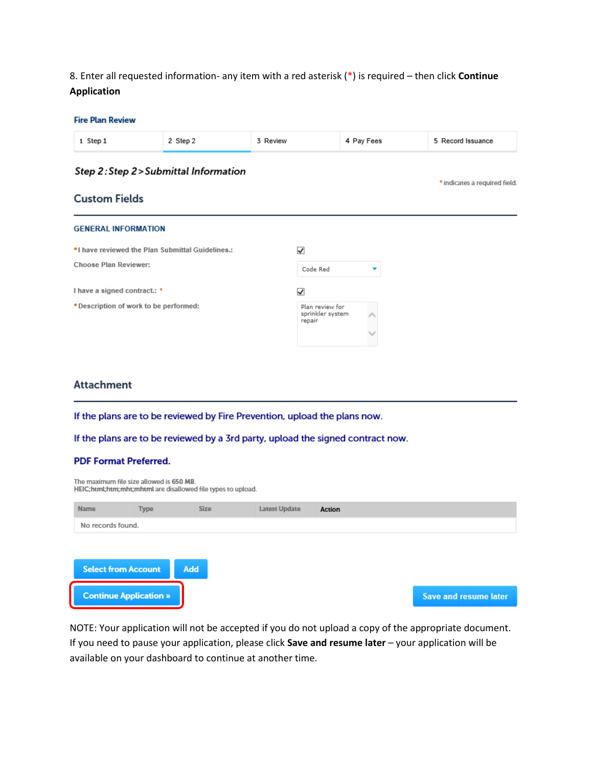8. Enter all requested information- any item with a red asterisk (\*) is required - then click Continue **Application** 

| <b>Fire Plan Review</b>    |                                        |          |            |                               |
|----------------------------|----------------------------------------|----------|------------|-------------------------------|
| 1 Step 1                   | 2 Step 2                               | 3 Review | 4 Pay Fees | 5 Record Issuance             |
|                            | Step 2: Step 2 > Submittal Information |          |            | * indicates a required field. |
| <b>Custom Fields</b>       |                                        |          |            |                               |
| <b>GENERAL INFORMATION</b> |                                        |          |            |                               |

| *I have reviewed the Plan Submittal Guidelines.: | ✓                                             |              |
|--------------------------------------------------|-----------------------------------------------|--------------|
| <b>Choose Plan Reviewer:</b>                     | Code Red                                      |              |
| I have a signed contract.: *                     | ✓                                             |              |
| * Description of work to be performed:           | Plan review for<br>sprinkler system<br>repair | $\checkmark$ |
|                                                  |                                               |              |

# **Attachment**

If the plans are to be reviewed by Fire Prevention, upload the plans now.

If the plans are to be reviewed by a 3rd party, upload the signed contract now.

## **PDF Format Preferred.**

|                   | The maximum file size allowed is 650 MB.<br>HEIC;html;htm;mht;mhtml are disallowed file types to upload. |      |               |        |                       |
|-------------------|----------------------------------------------------------------------------------------------------------|------|---------------|--------|-----------------------|
| Name              | Type                                                                                                     | Size | Latest Update | Action |                       |
| No records found. |                                                                                                          |      |               |        |                       |
|                   |                                                                                                          |      |               |        |                       |
|                   | <b>Select from Account</b>                                                                               | Add  |               |        |                       |
|                   | <b>Continue Application »</b>                                                                            |      |               |        | Save and resume later |

NOTE: Your application will not be accepted if you do not upload a copy of the appropriate document. If you need to pause your application, please click Save and resume later - your application will be available on your dashboard to continue at another time.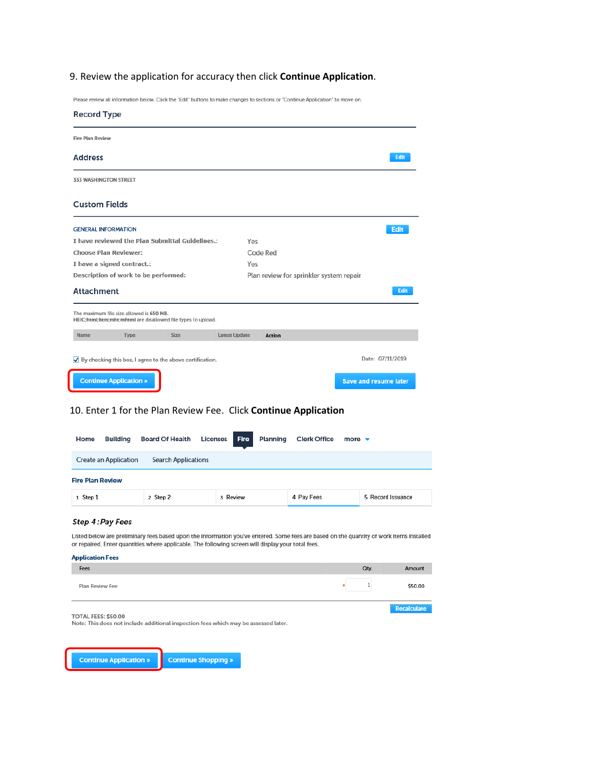# 9. Review the application for accuracy then click Continue Application.

Please review all information below. Click the "Edit" buttons to make changes to sections or "Continue Application" to move on.

| <b>Record Type</b>                                                                                       |             |                      |                                         |                              |
|----------------------------------------------------------------------------------------------------------|-------------|----------------------|-----------------------------------------|------------------------------|
| <b>Fire Plan Review</b>                                                                                  |             |                      |                                         |                              |
| <b>Address</b>                                                                                           |             |                      |                                         | Edit                         |
| <b>333 WASHINGTON STREET</b>                                                                             |             |                      |                                         |                              |
| <b>Custom Fields</b>                                                                                     |             |                      |                                         |                              |
| <b>GENERAL INFORMATION</b>                                                                               |             |                      |                                         | <b>Edit</b>                  |
| I have reviewed the Plan Submittal Guidelines.:                                                          |             | Yes                  |                                         |                              |
| <b>Choose Plan Reviewer:</b>                                                                             |             |                      | Code Red                                |                              |
| I have a signed contract.:                                                                               |             | Yes                  |                                         |                              |
| Description of work to be performed:                                                                     |             |                      | Plan review for sprinkler system repair |                              |
| <b>Attachment</b>                                                                                        |             |                      |                                         | Edit                         |
| The maximum file size allowed is 650 MB.<br>HEIC;html;htm;mht;mhtml are disallowed file types to upload. |             |                      |                                         |                              |
| Name<br>Type                                                                                             | <b>Size</b> | <b>Latest Update</b> | <b>Action</b>                           |                              |
| $\bigtriangledown$ By checking this box, I agree to the above certification.                             |             |                      |                                         | Date: 07/11/2019             |
| <b>Continue Application »</b>                                                                            |             |                      |                                         | <b>Save and resume later</b> |

# 10. Enter 1 for the Plan Review Fee. Click Continue Application

| <b>Board Of Health</b>     | <b>Fire</b><br>Planning | <b>Clerk Office</b> | more $\blacktriangledown$ |
|----------------------------|-------------------------|---------------------|---------------------------|
| <b>Search Applications</b> |                         |                     |                           |
|                            |                         |                     |                           |
| 2 Step 2                   | 3 Review                | 4 Pay Fees          | 5 Record Issuance         |
|                            |                         | <b>Licenses</b>     |                           |

#### Step 4: Pay Fees

Listed below are preliminary fees based upon the information you've entered. Some fees are based on the quantity of work items installed or repaired. Enter quantities where applicable. The following screen will display your total fees.

| <b>Application Fees</b><br>Fees | Qty. | Amount                 |
|---------------------------------|------|------------------------|
| Plan Review Fee                 |      | \$50.00                |
| TOTAL FEES: \$50.00             |      | <u></u><br>Recalculate |

Note: This does not include additional inspection fees which may be assessed later.